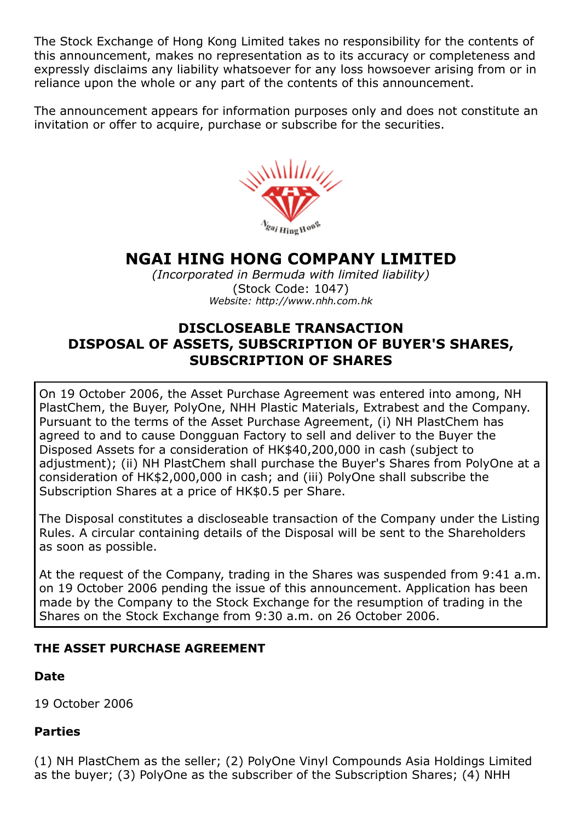The Stock Exchange of Hong Kong Limited takes no responsibility for the contents of this announcement, makes no representation as to its accuracy or completeness and expressly disclaims any liability whatsoever for any loss howsoever arising from or in reliance upon the whole or any part of the contents of this announcement.

The announcement appears for information purposes only and does not constitute an invitation or offer to acquire, purchase or subscribe for the securities.



# NGAI HING HONG COMPANY LIMITED

*(Incorporated in Bermuda with limited liability)* (Stock Code: 1047) *Website: http://www.nhh.com.hk*

# DISCLOSEABLE TRANSACTION DISPOSAL OF ASSETS, SUBSCRIPTION OF BUYER'S SHARES, SUBSCRIPTION OF SHARES

On 19 October 2006, the Asset Purchase Agreement was entered into among, NH PlastChem, the Buyer, PolyOne, NHH Plastic Materials, Extrabest and the Company. Pursuant to the terms of the Asset Purchase Agreement, (i) NH PlastChem has agreed to and to cause Dongguan Factory to sell and deliver to the Buyer the Disposed Assets for a consideration of HK\$40,200,000 in cash (subject to adjustment); (ii) NH PlastChem shall purchase the Buyer's Shares from PolyOne at a consideration of HK\$2,000,000 in cash; and (iii) PolyOne shall subscribe the Subscription Shares at a price of HK\$0.5 per Share.

The Disposal constitutes a discloseable transaction of the Company under the Listing Rules. A circular containing details of the Disposal will be sent to the Shareholders as soon as possible.

At the request of the Company, trading in the Shares was suspended from 9:41 a.m. on 19 October 2006 pending the issue of this announcement. Application has been made by the Company to the Stock Exchange for the resumption of trading in the Shares on the Stock Exchange from 9:30 a.m. on 26 October 2006.

## THE ASSET PURCHASE AGREEMENT

## Date

19 October 2006

## Parties

(1) NH PlastChem as the seller; (2) PolyOne Vinyl Compounds Asia Holdings Limited as the buyer; (3) PolyOne as the subscriber of the Subscription Shares; (4) NHH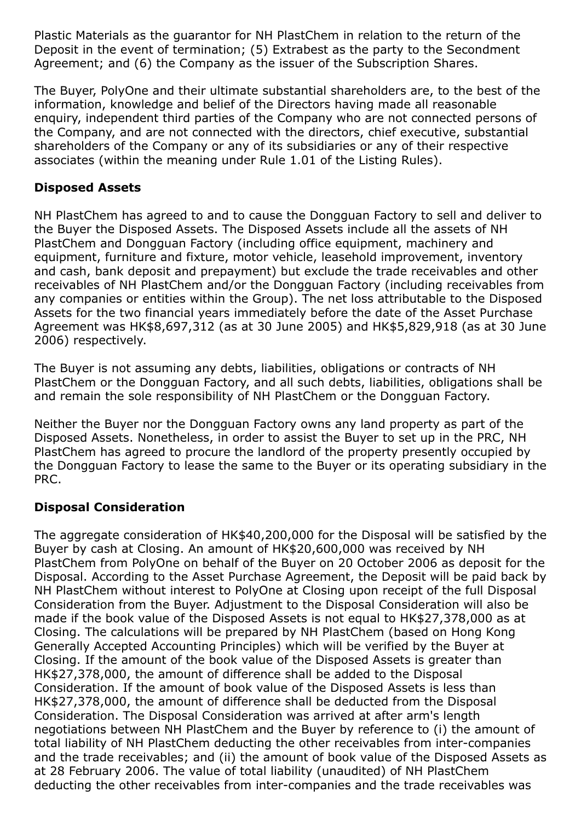Plastic Materials as the guarantor for NH PlastChem in relation to the return of the Deposit in the event of termination; (5) Extrabest as the party to the Secondment Agreement; and (6) the Company as the issuer of the Subscription Shares.

The Buyer, PolyOne and their ultimate substantial shareholders are, to the best of the information, knowledge and belief of the Directors having made all reasonable enquiry, independent third parties of the Company who are not connected persons of the Company, and are not connected with the directors, chief executive, substantial shareholders of the Company or any of its subsidiaries or any of their respective associates (within the meaning under Rule 1.01 of the Listing Rules).

## Disposed Assets

NH PlastChem has agreed to and to cause the Dongguan Factory to sell and deliver to the Buyer the Disposed Assets. The Disposed Assets include all the assets of NH PlastChem and Dongguan Factory (including office equipment, machinery and equipment, furniture and fixture, motor vehicle, leasehold improvement, inventory and cash, bank deposit and prepayment) but exclude the trade receivables and other receivables of NH PlastChem and/or the Dongguan Factory (including receivables from any companies or entities within the Group). The net loss attributable to the Disposed Assets for the two financial years immediately before the date of the Asset Purchase Agreement was HK\$8,697,312 (as at 30 June 2005) and HK\$5,829,918 (as at 30 June 2006) respectively.

The Buyer is not assuming any debts, liabilities, obligations or contracts of NH PlastChem or the Dongguan Factory, and all such debts, liabilities, obligations shall be and remain the sole responsibility of NH PlastChem or the Dongguan Factory.

Neither the Buyer nor the Dongguan Factory owns any land property as part of the Disposed Assets. Nonetheless, in order to assist the Buyer to set up in the PRC, NH PlastChem has agreed to procure the landlord of the property presently occupied by the Dongguan Factory to lease the same to the Buyer or its operating subsidiary in the PRC.

## Disposal Consideration

The aggregate consideration of HK\$40,200,000 for the Disposal will be satisfied by the Buyer by cash at Closing. An amount of HK\$20,600,000 was received by NH PlastChem from PolyOne on behalf of the Buyer on 20 October 2006 as deposit for the Disposal. According to the Asset Purchase Agreement, the Deposit will be paid back by NH PlastChem without interest to PolyOne at Closing upon receipt of the full Disposal Consideration from the Buyer. Adjustment to the Disposal Consideration will also be made if the book value of the Disposed Assets is not equal to HK\$27,378,000 as at Closing. The calculations will be prepared by NH PlastChem (based on Hong Kong Generally Accepted Accounting Principles) which will be verified by the Buyer at Closing. If the amount of the book value of the Disposed Assets is greater than HK\$27,378,000, the amount of difference shall be added to the Disposal Consideration. If the amount of book value of the Disposed Assets is less than HK\$27,378,000, the amount of difference shall be deducted from the Disposal Consideration. The Disposal Consideration was arrived at after arm's length negotiations between NH PlastChem and the Buyer by reference to (i) the amount of total liability of NH PlastChem deducting the other receivables from inter-companies and the trade receivables; and (ii) the amount of book value of the Disposed Assets as at 28 February 2006. The value of total liability (unaudited) of NH PlastChem deducting the other receivables from inter-companies and the trade receivables was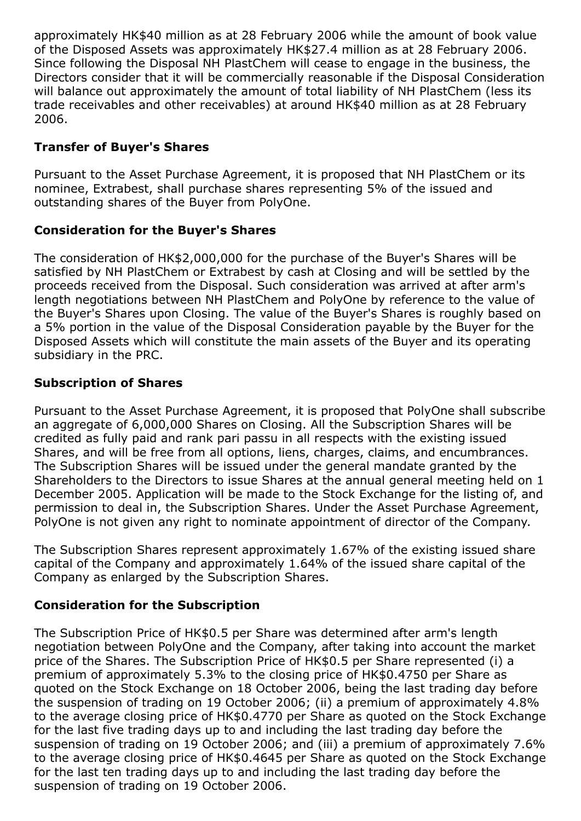approximately HK\$40 million as at 28 February 2006 while the amount of book value of the Disposed Assets was approximately HK\$27.4 million as at 28 February 2006. Since following the Disposal NH PlastChem will cease to engage in the business, the Directors consider that it will be commercially reasonable if the Disposal Consideration will balance out approximately the amount of total liability of NH PlastChem (less its trade receivables and other receivables) at around HK\$40 million as at 28 February 2006.

## Transfer of Buyer's Shares

Pursuant to the Asset Purchase Agreement, it is proposed that NH PlastChem or its nominee, Extrabest, shall purchase shares representing 5% of the issued and outstanding shares of the Buyer from PolyOne.

#### Consideration for the Buyer's Shares

The consideration of HK\$2,000,000 for the purchase of the Buyer's Shares will be satisfied by NH PlastChem or Extrabest by cash at Closing and will be settled by the proceeds received from the Disposal. Such consideration was arrived at after arm's length negotiations between NH PlastChem and PolyOne by reference to the value of the Buyer's Shares upon Closing. The value of the Buyer's Shares is roughly based on a 5% portion in the value of the Disposal Consideration payable by the Buyer for the Disposed Assets which will constitute the main assets of the Buyer and its operating subsidiary in the PRC.

#### Subscription of Shares

Pursuant to the Asset Purchase Agreement, it is proposed that PolyOne shall subscribe an aggregate of 6,000,000 Shares on Closing. All the Subscription Shares will be credited as fully paid and rank pari passu in all respects with the existing issued Shares, and will be free from all options, liens, charges, claims, and encumbrances. The Subscription Shares will be issued under the general mandate granted by the Shareholders to the Directors to issue Shares at the annual general meeting held on 1 December 2005. Application will be made to the Stock Exchange for the listing of, and permission to deal in, the Subscription Shares. Under the Asset Purchase Agreement, PolyOne is not given any right to nominate appointment of director of the Company.

The Subscription Shares represent approximately 1.67% of the existing issued share capital of the Company and approximately 1.64% of the issued share capital of the Company as enlarged by the Subscription Shares.

## Consideration for the Subscription

The Subscription Price of HK\$0.5 per Share was determined after arm's length negotiation between PolyOne and the Company, after taking into account the market price of the Shares. The Subscription Price of HK\$0.5 per Share represented (i) a premium of approximately 5.3% to the closing price of HK\$0.4750 per Share as quoted on the Stock Exchange on 18 October 2006, being the last trading day before the suspension of trading on 19 October 2006; (ii) a premium of approximately 4.8% to the average closing price of HK\$0.4770 per Share as quoted on the Stock Exchange for the last five trading days up to and including the last trading day before the suspension of trading on 19 October 2006; and (iii) a premium of approximately 7.6% to the average closing price of HK\$0.4645 per Share as quoted on the Stock Exchange for the last ten trading days up to and including the last trading day before the suspension of trading on 19 October 2006.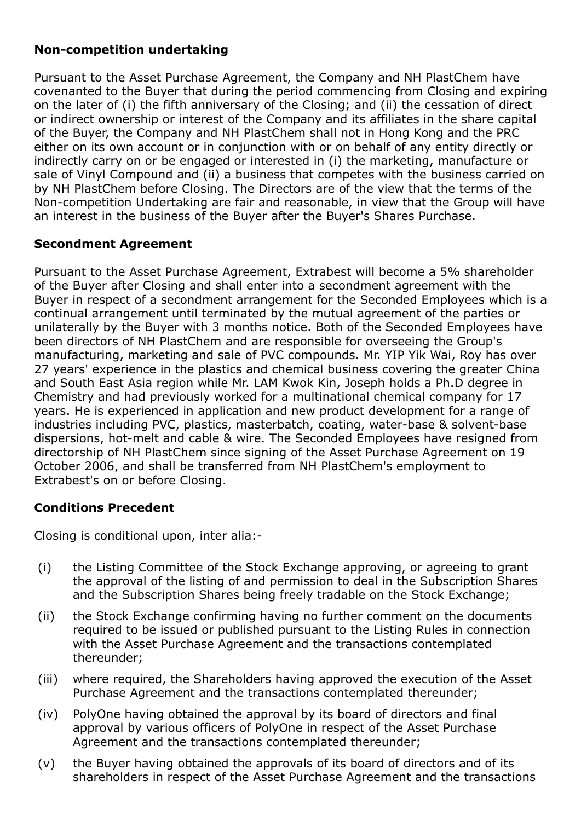## Non-competition undertaking

Pursuant to the Asset Purchase Agreement, the Company and NH PlastChem have covenanted to the Buyer that during the period commencing from Closing and expiring on the later of (i) the fifth anniversary of the Closing; and (ii) the cessation of direct or indirect ownership or interest of the Company and its affiliates in the share capital of the Buyer, the Company and NH PlastChem shall not in Hong Kong and the PRC either on its own account or in conjunction with or on behalf of any entity directly or indirectly carry on or be engaged or interested in (i) the marketing, manufacture or sale of Vinyl Compound and (ii) a business that competes with the business carried on by NH PlastChem before Closing. The Directors are of the view that the terms of the Non-competition Undertaking are fair and reasonable, in view that the Group will have an interest in the business of the Buyer after the Buyer's Shares Purchase.

## Secondment Agreement

Pursuant to the Asset Purchase Agreement, Extrabest will become a 5% shareholder of the Buyer after Closing and shall enter into a secondment agreement with the Buyer in respect of a secondment arrangement for the Seconded Employees which is a continual arrangement until terminated by the mutual agreement of the parties or unilaterally by the Buyer with 3 months notice. Both of the Seconded Employees have been directors of NH PlastChem and are responsible for overseeing the Group's manufacturing, marketing and sale of PVC compounds. Mr. YIP Yik Wai, Roy has over 27 years' experience in the plastics and chemical business covering the greater China and South East Asia region while Mr. LAM Kwok Kin, Joseph holds a Ph.D degree in Chemistry and had previously worked for a multinational chemical company for 17 years. He is experienced in application and new product development for a range of industries including PVC, plastics, masterbatch, coating, water-base & solvent-base dispersions, hot-melt and cable & wire. The Seconded Employees have resigned from directorship of NH PlastChem since signing of the Asset Purchase Agreement on 19 October 2006, and shall be transferred from NH PlastChem's employment to Extrabest's on or before Closing.

#### Conditions Precedent

Closing is conditional upon, inter alia:

- (i) the Listing Committee of the Stock Exchange approving, or agreeing to grant the approval of the listing of and permission to deal in the Subscription Shares and the Subscription Shares being freely tradable on the Stock Exchange;
- (ii) the Stock Exchange confirming having no further comment on the documents required to be issued or published pursuant to the Listing Rules in connection with the Asset Purchase Agreement and the transactions contemplated thereunder;
- (iii) where required, the Shareholders having approved the execution of the Asset Purchase Agreement and the transactions contemplated thereunder;
- (iv) PolyOne having obtained the approval by its board of directors and final approval by various officers of PolyOne in respect of the Asset Purchase Agreement and the transactions contemplated thereunder;
- (v) the Buyer having obtained the approvals of its board of directors and of its shareholders in respect of the Asset Purchase Agreement and the transactions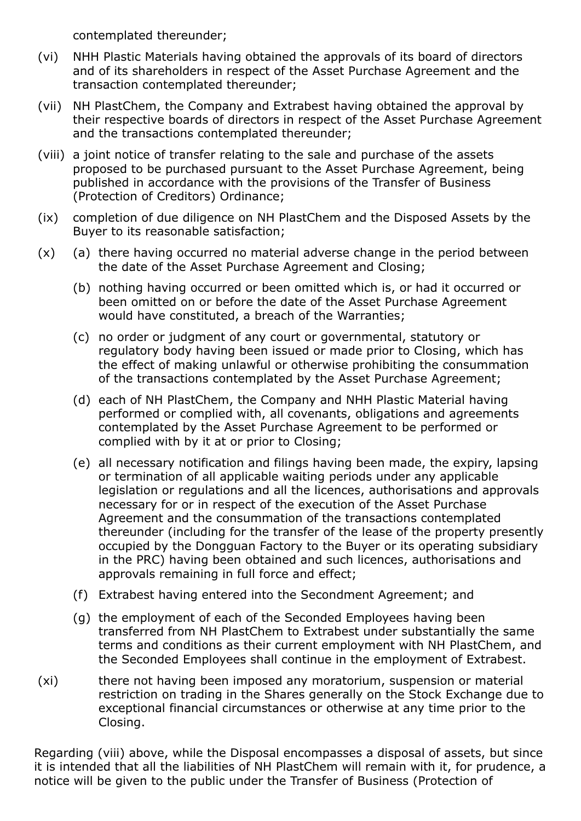contemplated thereunder;

- (vi) NHH Plastic Materials having obtained the approvals of its board of directors and of its shareholders in respect of the Asset Purchase Agreement and the transaction contemplated thereunder;
- (vii) NH PlastChem, the Company and Extrabest having obtained the approval by their respective boards of directors in respect of the Asset Purchase Agreement and the transactions contemplated thereunder;
- (viii) a joint notice of transfer relating to the sale and purchase of the assets proposed to be purchased pursuant to the Asset Purchase Agreement, being published in accordance with the provisions of the Transfer of Business (Protection of Creditors) Ordinance;
- (ix) completion of due diligence on NH PlastChem and the Disposed Assets by the Buyer to its reasonable satisfaction;
- (x) (a) there having occurred no material adverse change in the period between the date of the Asset Purchase Agreement and Closing;
	- (b) nothing having occurred or been omitted which is, or had it occurred or been omitted on or before the date of the Asset Purchase Agreement would have constituted, a breach of the Warranties;
	- (c) no order or judgment of any court or governmental, statutory or regulatory body having been issued or made prior to Closing, which has the effect of making unlawful or otherwise prohibiting the consummation of the transactions contemplated by the Asset Purchase Agreement;
	- (d) each of NH PlastChem, the Company and NHH Plastic Material having performed or complied with, all covenants, obligations and agreements contemplated by the Asset Purchase Agreement to be performed or complied with by it at or prior to Closing;
	- (e) all necessary notification and filings having been made, the expiry, lapsing or termination of all applicable waiting periods under any applicable legislation or regulations and all the licences, authorisations and approvals necessary for or in respect of the execution of the Asset Purchase Agreement and the consummation of the transactions contemplated thereunder (including for the transfer of the lease of the property presently occupied by the Dongguan Factory to the Buyer or its operating subsidiary in the PRC) having been obtained and such licences, authorisations and approvals remaining in full force and effect;
	- (f) Extrabest having entered into the Secondment Agreement; and
	- (g) the employment of each of the Seconded Employees having been transferred from NH PlastChem to Extrabest under substantially the same terms and conditions as their current employment with NH PlastChem, and the Seconded Employees shall continue in the employment of Extrabest.
- (xi) there not having been imposed any moratorium, suspension or material restriction on trading in the Shares generally on the Stock Exchange due to exceptional financial circumstances or otherwise at any time prior to the Closing.

Regarding (viii) above, while the Disposal encompasses a disposal of assets, but since it is intended that all the liabilities of NH PlastChem will remain with it, for prudence, a notice will be given to the public under the Transfer of Business (Protection of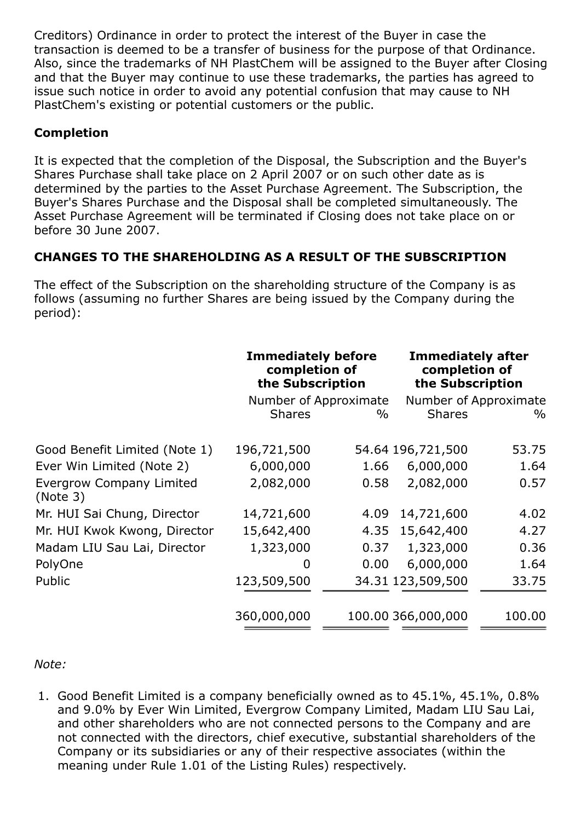Creditors) Ordinance in order to protect the interest of the Buyer in case the transaction is deemed to be a transfer of business for the purpose of that Ordinance. Also, since the trademarks of NH PlastChem will be assigned to the Buyer after Closing and that the Buyer may continue to use these trademarks, the parties has agreed to issue such notice in order to avoid any potential confusion that may cause to NH PlastChem's existing or potential customers or the public.

# Completion

It is expected that the completion of the Disposal, the Subscription and the Buyer's Shares Purchase shall take place on 2 April 2007 or on such other date as is determined by the parties to the Asset Purchase Agreement. The Subscription, the Buyer's Shares Purchase and the Disposal shall be completed simultaneously. The Asset Purchase Agreement will be terminated if Closing does not take place on or before 30 June 2007.

# CHANGES TO THE SHAREHOLDING AS A RESULT OF THE SUBSCRIPTION

The effect of the Subscription on the shareholding structure of the Company is as follows (assuming no further Shares are being issued by the Company during the period):

|                                             | <b>Immediately before</b><br>completion of<br>the Subscription |                               | <b>Immediately after</b><br>completion of<br>the Subscription |                               |
|---------------------------------------------|----------------------------------------------------------------|-------------------------------|---------------------------------------------------------------|-------------------------------|
|                                             | <b>Shares</b>                                                  | Number of Approximate<br>$\%$ | <b>Shares</b>                                                 | Number of Approximate<br>$\%$ |
| Good Benefit Limited (Note 1)               | 196,721,500                                                    |                               | 54.64 196,721,500                                             | 53.75                         |
| Ever Win Limited (Note 2)                   | 6,000,000                                                      | 1.66                          | 6,000,000                                                     | 1.64                          |
| <b>Evergrow Company Limited</b><br>(Note 3) | 2,082,000                                                      | 0.58                          | 2,082,000                                                     | 0.57                          |
| Mr. HUI Sai Chung, Director                 | 14,721,600                                                     | 4.09                          | 14,721,600                                                    | 4.02                          |
| Mr. HUI Kwok Kwong, Director                | 15,642,400                                                     | 4.35                          | 15,642,400                                                    | 4.27                          |
| Madam LIU Sau Lai, Director                 | 1,323,000                                                      | 0.37                          | 1,323,000                                                     | 0.36                          |
| PolyOne                                     | 0                                                              | 0.00                          | 6,000,000                                                     | 1.64                          |
| Public                                      | 123,509,500                                                    |                               | 34.31 123,509,500                                             | 33.75                         |
|                                             | 360,000,000                                                    |                               | 100.00 366,000,000                                            | 100.00                        |

## *Note:*

1. Good Benefit Limited is a company beneficially owned as to 45.1%, 45.1%, 0.8% and 9.0% by Ever Win Limited, Evergrow Company Limited, Madam LIU Sau Lai, and other shareholders who are not connected persons to the Company and are not connected with the directors, chief executive, substantial shareholders of the Company or its subsidiaries or any of their respective associates (within the meaning under Rule 1.01 of the Listing Rules) respectively.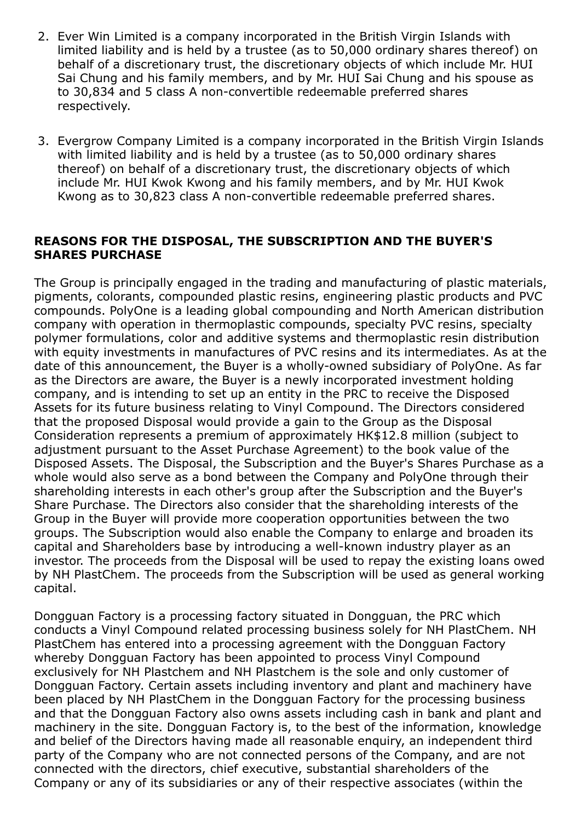- 2. Ever Win Limited is a company incorporated in the British Virgin Islands with limited liability and is held by a trustee (as to 50,000 ordinary shares thereof) on behalf of a discretionary trust, the discretionary objects of which include Mr. HUI Sai Chung and his family members, and by Mr. HUI Sai Chung and his spouse as to 30,834 and 5 class A non-convertible redeemable preferred shares respectively.
- 3. Evergrow Company Limited is a company incorporated in the British Virgin Islands with limited liability and is held by a trustee (as to 50,000 ordinary shares thereof) on behalf of a discretionary trust, the discretionary objects of which include Mr. HUI Kwok Kwong and his family members, and by Mr. HUI Kwok Kwong as to 30,823 class A non-convertible redeemable preferred shares.

#### REASONS FOR THE DISPOSAL, THE SUBSCRIPTION AND THE BUYER'S SHARES PURCHASE

The Group is principally engaged in the trading and manufacturing of plastic materials, pigments, colorants, compounded plastic resins, engineering plastic products and PVC compounds. PolyOne is a leading global compounding and North American distribution company with operation in thermoplastic compounds, specialty PVC resins, specialty polymer formulations, color and additive systems and thermoplastic resin distribution with equity investments in manufactures of PVC resins and its intermediates. As at the date of this announcement, the Buyer is a wholly-owned subsidiary of PolyOne. As far as the Directors are aware, the Buyer is a newly incorporated investment holding company, and is intending to set up an entity in the PRC to receive the Disposed Assets for its future business relating to Vinyl Compound. The Directors considered that the proposed Disposal would provide a gain to the Group as the Disposal Consideration represents a premium of approximately HK\$12.8 million (subject to adjustment pursuant to the Asset Purchase Agreement) to the book value of the Disposed Assets. The Disposal, the Subscription and the Buyer's Shares Purchase as a whole would also serve as a bond between the Company and PolyOne through their shareholding interests in each other's group after the Subscription and the Buyer's Share Purchase. The Directors also consider that the shareholding interests of the Group in the Buyer will provide more cooperation opportunities between the two groups. The Subscription would also enable the Company to enlarge and broaden its capital and Shareholders base by introducing a well-known industry player as an investor. The proceeds from the Disposal will be used to repay the existing loans owed by NH PlastChem. The proceeds from the Subscription will be used as general working capital.

Dongguan Factory is a processing factory situated in Dongguan, the PRC which conducts a Vinyl Compound related processing business solely for NH PlastChem. NH PlastChem has entered into a processing agreement with the Dongguan Factory whereby Dongguan Factory has been appointed to process Vinyl Compound exclusively for NH Plastchem and NH Plastchem is the sole and only customer of Dongguan Factory. Certain assets including inventory and plant and machinery have been placed by NH PlastChem in the Dongguan Factory for the processing business and that the Dongguan Factory also owns assets including cash in bank and plant and machinery in the site. Dongguan Factory is, to the best of the information, knowledge and belief of the Directors having made all reasonable enquiry, an independent third party of the Company who are not connected persons of the Company, and are not connected with the directors, chief executive, substantial shareholders of the Company or any of its subsidiaries or any of their respective associates (within the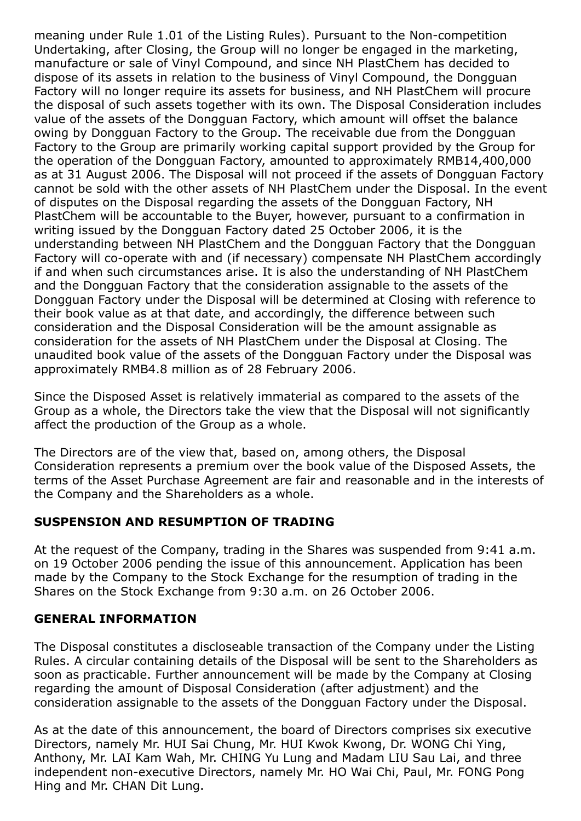meaning under Rule 1.01 of the Listing Rules). Pursuant to the Non-competition Undertaking, after Closing, the Group will no longer be engaged in the marketing, manufacture or sale of Vinyl Compound, and since NH PlastChem has decided to dispose of its assets in relation to the business of Vinyl Compound, the Dongguan Factory will no longer require its assets for business, and NH PlastChem will procure the disposal of such assets together with its own. The Disposal Consideration includes value of the assets of the Dongguan Factory, which amount will offset the balance owing by Dongguan Factory to the Group. The receivable due from the Dongguan Factory to the Group are primarily working capital support provided by the Group for the operation of the Dongguan Factory, amounted to approximately RMB14,400,000 as at 31 August 2006. The Disposal will not proceed if the assets of Dongguan Factory cannot be sold with the other assets of NH PlastChem under the Disposal. In the event of disputes on the Disposal regarding the assets of the Dongguan Factory, NH PlastChem will be accountable to the Buyer, however, pursuant to a confirmation in writing issued by the Dongguan Factory dated 25 October 2006, it is the understanding between NH PlastChem and the Dongguan Factory that the Dongguan Factory will co-operate with and (if necessary) compensate NH PlastChem accordingly if and when such circumstances arise. It is also the understanding of NH PlastChem and the Dongguan Factory that the consideration assignable to the assets of the Dongguan Factory under the Disposal will be determined at Closing with reference to their book value as at that date, and accordingly, the difference between such consideration and the Disposal Consideration will be the amount assignable as consideration for the assets of NH PlastChem under the Disposal at Closing. The unaudited book value of the assets of the Dongguan Factory under the Disposal was approximately RMB4.8 million as of 28 February 2006.

Since the Disposed Asset is relatively immaterial as compared to the assets of the Group as a whole, the Directors take the view that the Disposal will not significantly affect the production of the Group as a whole.

The Directors are of the view that, based on, among others, the Disposal Consideration represents a premium over the book value of the Disposed Assets, the terms of the Asset Purchase Agreement are fair and reasonable and in the interests of the Company and the Shareholders as a whole.

## SUSPENSION AND RESUMPTION OF TRADING

At the request of the Company, trading in the Shares was suspended from 9:41 a.m. on 19 October 2006 pending the issue of this announcement. Application has been made by the Company to the Stock Exchange for the resumption of trading in the Shares on the Stock Exchange from 9:30 a.m. on 26 October 2006.

#### GENERAL INFORMATION

The Disposal constitutes a discloseable transaction of the Company under the Listing Rules. A circular containing details of the Disposal will be sent to the Shareholders as soon as practicable. Further announcement will be made by the Company at Closing regarding the amount of Disposal Consideration (after adjustment) and the consideration assignable to the assets of the Dongguan Factory under the Disposal.

As at the date of this announcement, the board of Directors comprises six executive Directors, namely Mr. HUI Sai Chung, Mr. HUI Kwok Kwong, Dr. WONG Chi Ying, Anthony, Mr. LAI Kam Wah, Mr. CHING Yu Lung and Madam LIU Sau Lai, and three independent non-executive Directors, namely Mr. HO Wai Chi, Paul, Mr. FONG Pong Hing and Mr. CHAN Dit Lung.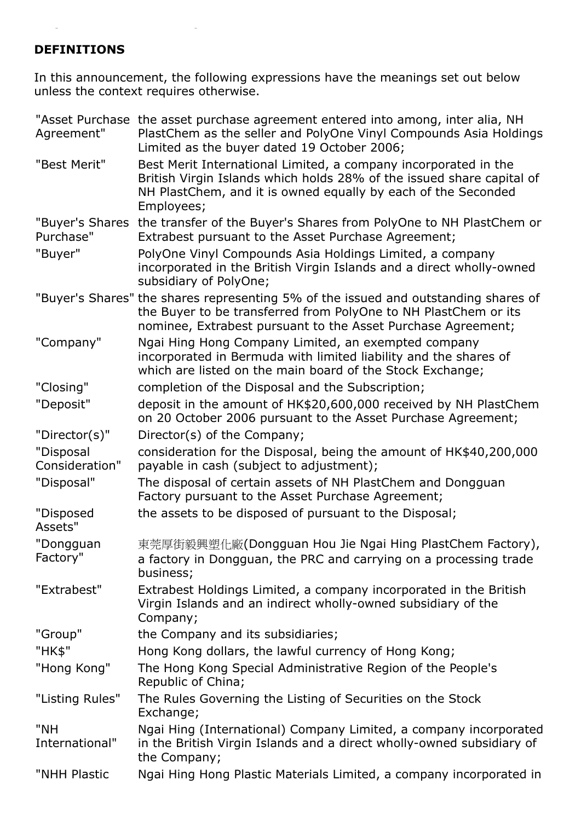# DEFINITIONS

In this announcement, the following expressions have the meanings set out below unless the context requires otherwise.

| Agreement"                   | "Asset Purchase the asset purchase agreement entered into among, inter alia, NH<br>PlastChem as the seller and PolyOne Vinyl Compounds Asia Holdings<br>Limited as the buyer dated 19 October 2006;                     |
|------------------------------|-------------------------------------------------------------------------------------------------------------------------------------------------------------------------------------------------------------------------|
| "Best Merit"                 | Best Merit International Limited, a company incorporated in the<br>British Virgin Islands which holds 28% of the issued share capital of<br>NH PlastChem, and it is owned equally by each of the Seconded<br>Employees; |
| "Buyer's Shares<br>Purchase" | the transfer of the Buyer's Shares from PolyOne to NH PlastChem or<br>Extrabest pursuant to the Asset Purchase Agreement;                                                                                               |
| "Buyer"                      | PolyOne Vinyl Compounds Asia Holdings Limited, a company<br>incorporated in the British Virgin Islands and a direct wholly-owned<br>subsidiary of PolyOne;                                                              |
|                              | "Buyer's Shares" the shares representing 5% of the issued and outstanding shares of<br>the Buyer to be transferred from PolyOne to NH PlastChem or its<br>nominee, Extrabest pursuant to the Asset Purchase Agreement;  |
| "Company"                    | Ngai Hing Hong Company Limited, an exempted company<br>incorporated in Bermuda with limited liability and the shares of<br>which are listed on the main board of the Stock Exchange;                                    |
| "Closing"                    | completion of the Disposal and the Subscription;                                                                                                                                                                        |
| "Deposit"                    | deposit in the amount of HK\$20,600,000 received by NH PlastChem<br>on 20 October 2006 pursuant to the Asset Purchase Agreement;                                                                                        |
| "Director(s)"                | Director(s) of the Company;                                                                                                                                                                                             |
| "Disposal<br>Consideration"  | consideration for the Disposal, being the amount of HK\$40,200,000<br>payable in cash (subject to adjustment);                                                                                                          |
| "Disposal"                   | The disposal of certain assets of NH PlastChem and Dongguan<br>Factory pursuant to the Asset Purchase Agreement;                                                                                                        |
| "Disposed<br>Assets"         | the assets to be disposed of pursuant to the Disposal;                                                                                                                                                                  |
| "Dongguan<br>Factory"        | 東莞厚街毅興塑化廠(Dongguan Hou Jie Ngai Hing PlastChem Factory),<br>a factory in Dongguan, the PRC and carrying on a processing trade<br>business;                                                                              |
| "Extrabest"                  | Extrabest Holdings Limited, a company incorporated in the British<br>Virgin Islands and an indirect wholly-owned subsidiary of the<br>Company;                                                                          |
| "Group"                      | the Company and its subsidiaries;                                                                                                                                                                                       |
| "HK\$"                       | Hong Kong dollars, the lawful currency of Hong Kong;                                                                                                                                                                    |
| "Hong Kong"                  | The Hong Kong Special Administrative Region of the People's<br>Republic of China;                                                                                                                                       |
| "Listing Rules"              | The Rules Governing the Listing of Securities on the Stock<br>Exchange;                                                                                                                                                 |
| "NH<br>International"        | Ngai Hing (International) Company Limited, a company incorporated<br>in the British Virgin Islands and a direct wholly-owned subsidiary of<br>the Company;                                                              |
| "NHH Plastic                 | Ngai Hing Hong Plastic Materials Limited, a company incorporated in                                                                                                                                                     |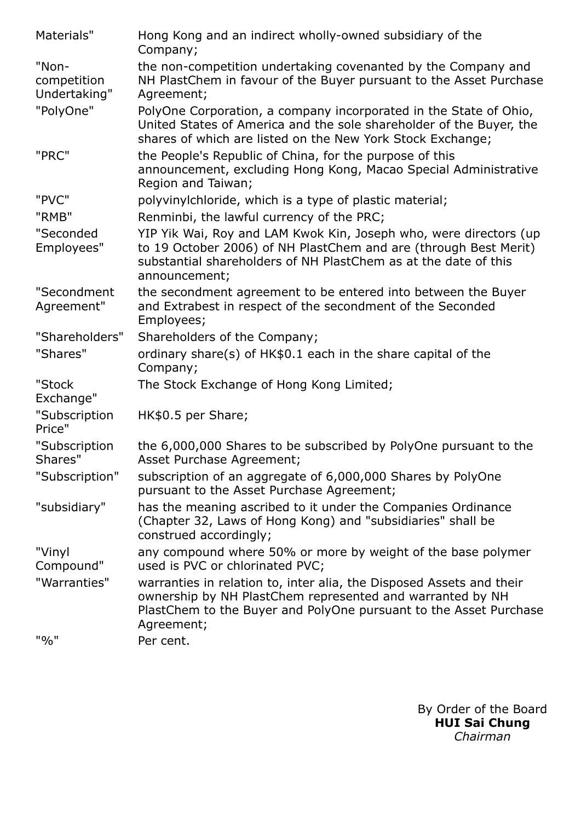| Materials"                           | Hong Kong and an indirect wholly-owned subsidiary of the<br>Company;                                                                                                                                                      |
|--------------------------------------|---------------------------------------------------------------------------------------------------------------------------------------------------------------------------------------------------------------------------|
| "Non-<br>competition<br>Undertaking" | the non-competition undertaking covenanted by the Company and<br>NH PlastChem in favour of the Buyer pursuant to the Asset Purchase<br>Agreement;                                                                         |
| "PolyOne"                            | PolyOne Corporation, a company incorporated in the State of Ohio,<br>United States of America and the sole shareholder of the Buyer, the<br>shares of which are listed on the New York Stock Exchange;                    |
| "PRC"                                | the People's Republic of China, for the purpose of this<br>announcement, excluding Hong Kong, Macao Special Administrative<br>Region and Taiwan;                                                                          |
| "PVC"                                | polyvinylchloride, which is a type of plastic material;                                                                                                                                                                   |
| "RMB"                                | Renminbi, the lawful currency of the PRC;                                                                                                                                                                                 |
| "Seconded<br>Employees"              | YIP Yik Wai, Roy and LAM Kwok Kin, Joseph who, were directors (up<br>to 19 October 2006) of NH PlastChem and are (through Best Merit)<br>substantial shareholders of NH PlastChem as at the date of this<br>announcement; |
| "Secondment<br>Agreement"            | the secondment agreement to be entered into between the Buyer<br>and Extrabest in respect of the secondment of the Seconded<br>Employees;                                                                                 |
| "Shareholders"                       | Shareholders of the Company;                                                                                                                                                                                              |
| "Shares"                             | ordinary share(s) of HK\$0.1 each in the share capital of the<br>Company;                                                                                                                                                 |
| "Stock<br>Exchange"                  | The Stock Exchange of Hong Kong Limited;                                                                                                                                                                                  |
| "Subscription<br>Price"              | HK\$0.5 per Share;                                                                                                                                                                                                        |
| "Subscription<br>Shares"             | the 6,000,000 Shares to be subscribed by PolyOne pursuant to the<br>Asset Purchase Agreement;                                                                                                                             |
| "Subscription"                       | subscription of an aggregate of 6,000,000 Shares by PolyOne<br>pursuant to the Asset Purchase Agreement;                                                                                                                  |
| "subsidiary"                         | has the meaning ascribed to it under the Companies Ordinance<br>(Chapter 32, Laws of Hong Kong) and "subsidiaries" shall be<br>construed accordingly;                                                                     |
| "Vinyl<br>Compound"                  | any compound where 50% or more by weight of the base polymer<br>used is PVC or chlorinated PVC;                                                                                                                           |
| "Warranties"                         | warranties in relation to, inter alia, the Disposed Assets and their<br>ownership by NH PlastChem represented and warranted by NH<br>PlastChem to the Buyer and PolyOne pursuant to the Asset Purchase<br>Agreement;      |
| "%"                                  | Per cent.                                                                                                                                                                                                                 |

By Order of the Board HUI Sai Chung *Chairman*